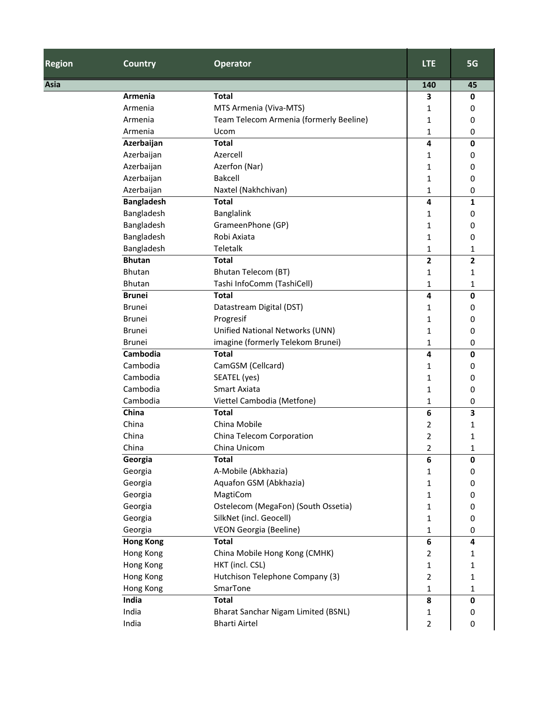| <b>Region</b> | <b>Country</b>    | <b>Operator</b>                         | <b>LTE</b>              | 5G             |
|---------------|-------------------|-----------------------------------------|-------------------------|----------------|
| Asia          |                   |                                         | 140                     | 45             |
|               | Armenia           | <b>Total</b>                            | 3                       | 0              |
|               | Armenia           | MTS Armenia (Viva-MTS)                  | 1                       | 0              |
|               | Armenia           | Team Telecom Armenia (formerly Beeline) | 1                       | 0              |
|               | Armenia           | Ucom                                    | 1                       | 0              |
|               | Azerbaijan        | <b>Total</b>                            | 4                       | 0              |
|               | Azerbaijan        | Azercell                                | 1                       | 0              |
|               | Azerbaijan        | Azerfon (Nar)                           | 1                       | 0              |
|               | Azerbaijan        | <b>Bakcell</b>                          | 1                       | 0              |
|               | Azerbaijan        | Naxtel (Nakhchivan)                     | 1                       | 0              |
|               | <b>Bangladesh</b> | <b>Total</b>                            | 4                       | 1              |
|               | Bangladesh        | Banglalink                              | 1                       | 0              |
|               | Bangladesh        | GrameenPhone (GP)                       | 1                       | 0              |
|               | Bangladesh        | Robi Axiata                             | 1                       | 0              |
|               | Bangladesh        | Teletalk                                | 1                       | 1              |
|               | <b>Bhutan</b>     | <b>Total</b>                            | 2                       | $\overline{2}$ |
|               | <b>Bhutan</b>     | <b>Bhutan Telecom (BT)</b>              | 1                       | 1              |
|               | Bhutan            | Tashi InfoComm (TashiCell)              | 1                       | 1              |
|               | <b>Brunei</b>     | <b>Total</b>                            | 4                       | 0              |
|               | <b>Brunei</b>     | Datastream Digital (DST)                | 1                       | 0              |
|               | <b>Brunei</b>     | Progresif                               | 1                       | 0              |
|               | <b>Brunei</b>     | Unified National Networks (UNN)         | 1                       | 0              |
|               | <b>Brunei</b>     | imagine (formerly Telekom Brunei)       | 1                       | 0              |
|               | Cambodia          | <b>Total</b>                            | 4                       | 0              |
|               | Cambodia          | CamGSM (Cellcard)                       | 1                       | 0              |
|               | Cambodia          | SEATEL (yes)                            | 1                       | 0              |
|               | Cambodia          | Smart Axiata                            | 1                       | 0              |
|               | Cambodia          | Viettel Cambodia (Metfone)              | 1                       | 0              |
|               | China             | <b>Total</b>                            | 6                       | 3              |
|               | China             | China Mobile                            | 2                       | 1              |
|               | China             | China Telecom Corporation               | 2                       | 1              |
|               | China             | China Unicom                            | 2                       | 1              |
|               | Georgia           | Total                                   | 6                       | 0              |
|               | Georgia           | A-Mobile (Abkhazia)                     | 1                       | 0              |
|               | Georgia           | Aquafon GSM (Abkhazia)                  | 1                       | 0              |
|               | Georgia           | MagtiCom                                | 1                       | 0              |
|               | Georgia           | Ostelecom (MegaFon) (South Ossetia)     | 1                       | 0              |
|               | Georgia           | SilkNet (incl. Geocell)                 | 1                       | 0              |
|               | Georgia           | <b>VEON Georgia (Beeline)</b>           | 1                       | 0              |
|               | <b>Hong Kong</b>  | <b>Total</b>                            | $\bf 6$                 | 4              |
|               | Hong Kong         | China Mobile Hong Kong (CMHK)           | 2                       | 1              |
|               | Hong Kong         | HKT (incl. CSL)                         | 1                       | 1              |
|               | Hong Kong         | Hutchison Telephone Company (3)         | $\overline{\mathbf{c}}$ | 1              |
|               | Hong Kong         | SmarTone                                | 1                       | 1              |
|               | India             | <b>Total</b>                            | 8                       | 0              |
|               | India             | Bharat Sanchar Nigam Limited (BSNL)     | 1                       | 0              |
|               | India             | <b>Bharti Airtel</b>                    | 2                       | 0              |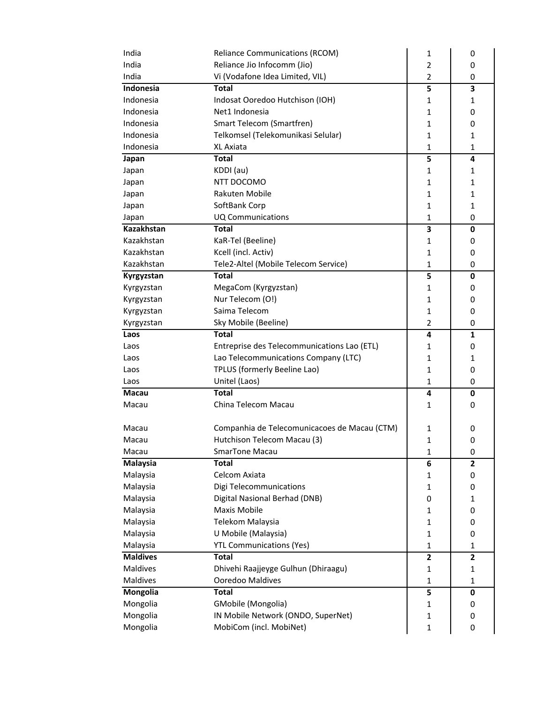| India           | <b>Reliance Communications (RCOM)</b>        | 1              | 0              |
|-----------------|----------------------------------------------|----------------|----------------|
| India           | Reliance Jio Infocomm (Jio)                  | $\overline{2}$ | 0              |
| India           | Vi (Vodafone Idea Limited, VIL)              | $\overline{2}$ | 0              |
| Indonesia       | <b>Total</b>                                 | 5              | 3              |
| Indonesia       | Indosat Ooredoo Hutchison (IOH)              | 1              | 1              |
| Indonesia       | Net1 Indonesia                               | $\mathbf{1}$   | 0              |
| Indonesia       | Smart Telecom (Smartfren)                    | 1              | 0              |
| Indonesia       | Telkomsel (Telekomunikasi Selular)           | 1              | 1              |
| Indonesia       | XL Axiata                                    | $\mathbf{1}$   | 1              |
| Japan           | <b>Total</b>                                 | 5              | 4              |
| Japan           | KDDI (au)                                    | 1              | 1              |
| Japan           | NTT DOCOMO                                   | 1              | 1              |
| Japan           | Rakuten Mobile                               | 1              | 1              |
| Japan           | SoftBank Corp                                | $\mathbf{1}$   | 1              |
| Japan           | <b>UQ Communications</b>                     | $\mathbf{1}$   | 0              |
| Kazakhstan      | <b>Total</b>                                 | 3              | 0              |
| Kazakhstan      | KaR-Tel (Beeline)                            | 1              | 0              |
| Kazakhstan      | Kcell (incl. Activ)                          | 1              | 0              |
| Kazakhstan      | Tele2-Altel (Mobile Telecom Service)         | $\mathbf{1}$   | 0              |
| Kyrgyzstan      | <b>Total</b>                                 | 5              | $\mathbf 0$    |
| Kyrgyzstan      | MegaCom (Kyrgyzstan)                         | 1              | 0              |
| Kyrgyzstan      | Nur Telecom (O!)                             | 1              | 0              |
| Kyrgyzstan      | Saima Telecom                                | 1              | 0              |
| Kyrgyzstan      | Sky Mobile (Beeline)                         | $\overline{2}$ | 0              |
| Laos            | <b>Total</b>                                 | 4              | $\mathbf{1}$   |
| Laos            | Entreprise des Telecommunications Lao (ETL)  | 1              | 0              |
| Laos            | Lao Telecommunications Company (LTC)         | 1              | 1              |
| Laos            | TPLUS (formerly Beeline Lao)                 | 1              | 0              |
| Laos            | Unitel (Laos)                                | 1              | 0              |
| <b>Macau</b>    | <b>Total</b>                                 | 4              | $\mathbf 0$    |
| Macau           | China Telecom Macau                          | 1              | 0              |
|                 |                                              |                |                |
| Macau           | Companhia de Telecomunicacoes de Macau (CTM) | 1              | 0              |
| Macau           | Hutchison Telecom Macau (3)                  | $\mathbf{1}$   | 0              |
| Macau           | SmarTone Macau                               | $\mathbf{1}$   | 0              |
| Malaysia        | <b>Total</b>                                 | 6              | 2              |
| Malaysia        | Celcom Axiata                                | 1              | 0              |
| Malaysia        | Digi Telecommunications                      | 1              | 0              |
| Malaysia        | Digital Nasional Berhad (DNB)                | 0              | 1              |
| Malaysia        | Maxis Mobile                                 | $\mathbf{1}$   | 0              |
| Malaysia        | Telekom Malaysia                             | $\mathbf{1}$   | 0              |
| Malaysia        | U Mobile (Malaysia)                          | 1              | 0              |
| Malaysia        | <b>YTL Communications (Yes)</b>              | 1              | 1              |
| <b>Maldives</b> | <b>Total</b>                                 | $\overline{2}$ | $\overline{2}$ |
| Maldives        | Dhivehi Raajjeyge Gulhun (Dhiraagu)          | 1              | 1              |
| Maldives        | Ooredoo Maldives                             | $\mathbf{1}$   | 1              |
| Mongolia        | <b>Total</b>                                 | 5              | 0              |
| Mongolia        | GMobile (Mongolia)                           | 1              | 0              |
| Mongolia        | IN Mobile Network (ONDO, SuperNet)           | 1              | 0              |
| Mongolia        | MobiCom (incl. MobiNet)                      | $\mathbf{1}$   |                |
|                 |                                              |                | 0              |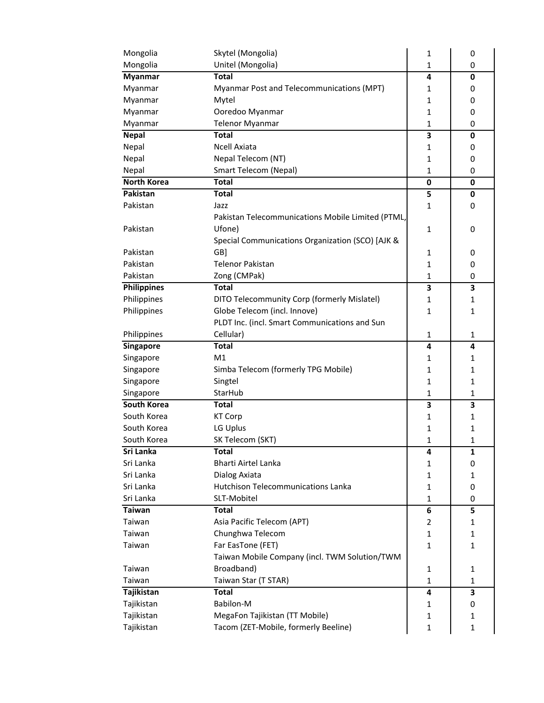| Mongolia                        | Skytel (Mongolia)                                                      | 1            | 0            |
|---------------------------------|------------------------------------------------------------------------|--------------|--------------|
| Mongolia                        | Unitel (Mongolia)                                                      | 1            | 0            |
| <b>Myanmar</b>                  | <b>Total</b>                                                           | 4            | 0            |
| Myanmar                         | Myanmar Post and Telecommunications (MPT)                              | 1            | 0            |
| Myanmar                         | Mytel                                                                  | 1            | 0            |
| Myanmar                         | Ooredoo Myanmar                                                        | 1            | 0            |
| Myanmar                         | <b>Telenor Myanmar</b>                                                 | $\mathbf{1}$ | 0            |
| <b>Nepal</b>                    | <b>Total</b>                                                           | 3            | 0            |
| Nepal                           | <b>Ncell Axiata</b>                                                    | 1            | 0            |
| Nepal                           | Nepal Telecom (NT)                                                     | 1            | 0            |
| Nepal                           | Smart Telecom (Nepal)                                                  | 1            | 0            |
| <b>North Korea</b>              | <b>Total</b>                                                           | 0            | 0            |
| Pakistan                        | <b>Total</b>                                                           | 5            | 0            |
| Pakistan                        | Jazz                                                                   | 1            | 0            |
|                                 | Pakistan Telecommunications Mobile Limited (PTML,                      |              |              |
| Pakistan                        | Ufone)                                                                 | 1            | 0            |
|                                 | Special Communications Organization (SCO) [AJK &                       |              |              |
| Pakistan                        | GB]                                                                    | 1            | 0            |
| Pakistan                        | <b>Telenor Pakistan</b>                                                | 1            | 0            |
| Pakistan                        | Zong (CMPak)                                                           | 1            | 0            |
| <b>Philippines</b>              | <b>Total</b>                                                           | 3            | 3            |
| Philippines                     | DITO Telecommunity Corp (formerly Mislatel)                            | 1            | 1            |
| Philippines                     | Globe Telecom (incl. Innove)                                           | 1            | $\mathbf{1}$ |
|                                 | PLDT Inc. (incl. Smart Communications and Sun                          |              |              |
| Philippines                     | Cellular)                                                              | 1            | 1            |
|                                 |                                                                        |              |              |
|                                 |                                                                        |              |              |
| <b>Singapore</b>                | <b>Total</b>                                                           | 4            | 4            |
| Singapore                       | M1                                                                     | 1            | 1            |
| Singapore                       | Simba Telecom (formerly TPG Mobile)                                    | 1            | 1            |
| Singapore                       | Singtel                                                                | 1            | 1            |
| Singapore<br><b>South Korea</b> | StarHub<br><b>Total</b>                                                | 1            | $\mathbf{1}$ |
|                                 |                                                                        | 3            | 3            |
| South Korea                     | <b>KT Corp</b>                                                         | 1            | 1            |
| South Korea                     | LG Uplus                                                               | 1            | 1            |
| South Korea                     | SK Telecom (SKT)                                                       | 1            | $\mathbf{1}$ |
| Sri Lanka                       | <b>Total</b>                                                           | 4            | 1            |
| Sri Lanka                       | Bharti Airtel Lanka                                                    | 1            | 0            |
| Sri Lanka                       | Dialog Axiata                                                          | 1            | 1            |
| Sri Lanka                       | <b>Hutchison Telecommunications Lanka</b>                              | 1            | 0            |
| Sri Lanka<br><b>Taiwan</b>      | SLT-Mobitel                                                            | 1            | 0            |
|                                 | <b>Total</b>                                                           | 6            | 5            |
| Taiwan                          | Asia Pacific Telecom (APT)                                             | 2            | 1            |
| Taiwan                          | Chunghwa Telecom                                                       | 1            | $\mathbf{1}$ |
| Taiwan                          | Far EasTone (FET)                                                      | 1            | $\mathbf{1}$ |
|                                 | Taiwan Mobile Company (incl. TWM Solution/TWM                          |              |              |
| Taiwan                          | Broadband)                                                             | 1            | 1            |
| Taiwan                          | Taiwan Star (T STAR)                                                   | 1            | $\mathbf{1}$ |
| Tajikistan                      | <b>Total</b>                                                           | 4            | 3            |
| Tajikistan                      | Babilon-M                                                              | 1            | 0            |
| Tajikistan<br>Tajikistan        | MegaFon Tajikistan (TT Mobile)<br>Tacom (ZET-Mobile, formerly Beeline) | 1<br>1       | 1<br>1       |